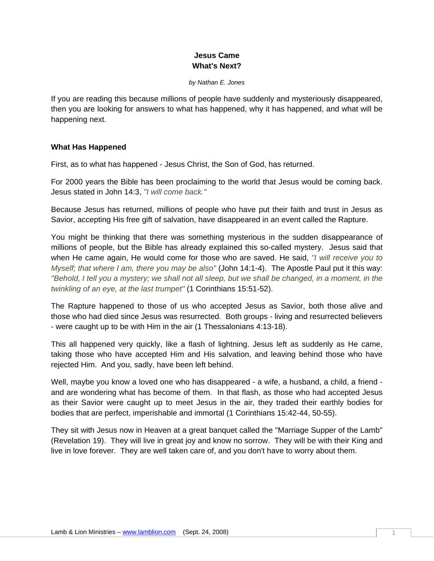# **Jesus Came What's Next?**

*by Nathan E. Jones* 

If you are reading this because millions of people have suddenly and mysteriously disappeared, then you are looking for answers to what has happened, why it has happened, and what will be happening next.

## **What Has Happened**

First, as to what has happened - Jesus Christ, the Son of God, has returned.

For 2000 years the Bible has been proclaiming to the world that Jesus would be coming back. Jesus stated in John 14:3, *"I will come back."*

Because Jesus has returned, millions of people who have put their faith and trust in Jesus as Savior, accepting His free gift of salvation, have disappeared in an event called the Rapture.

You might be thinking that there was something mysterious in the sudden disappearance of millions of people, but the Bible has already explained this so-called mystery. Jesus said that when He came again, He would come for those who are saved. He said, *"I will receive you to Myself; that where I am, there you may be also"* (John 14:1-4). The Apostle Paul put it this way: *"Behold, I tell you a mystery; we shall not all sleep, but we shall be changed, in a moment, in the twinkling of an eye, at the last trumpet"* (1 Corinthians 15:51-52).

The Rapture happened to those of us who accepted Jesus as Savior, both those alive and those who had died since Jesus was resurrected. Both groups - living and resurrected believers - were caught up to be with Him in the air (1 Thessalonians 4:13-18).

This all happened very quickly, like a flash of lightning. Jesus left as suddenly as He came, taking those who have accepted Him and His salvation, and leaving behind those who have rejected Him. And you, sadly, have been left behind.

Well, maybe you know a loved one who has disappeared - a wife, a husband, a child, a friend and are wondering what has become of them. In that flash, as those who had accepted Jesus as their Savior were caught up to meet Jesus in the air, they traded their earthly bodies for bodies that are perfect, imperishable and immortal (1 Corinthians 15:42-44, 50-55).

They sit with Jesus now in Heaven at a great banquet called the "Marriage Supper of the Lamb" (Revelation 19). They will live in great joy and know no sorrow. They will be with their King and live in love forever. They are well taken care of, and you don't have to worry about them.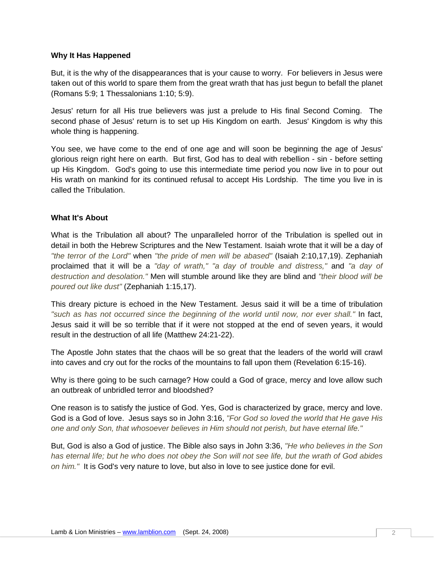#### **Why It Has Happened**

But, it is the why of the disappearances that is your cause to worry. For believers in Jesus were taken out of this world to spare them from the great wrath that has just begun to befall the planet (Romans 5:9; 1 Thessalonians 1:10; 5:9).

Jesus' return for all His true believers was just a prelude to His final Second Coming. The second phase of Jesus' return is to set up His Kingdom on earth. Jesus' Kingdom is why this whole thing is happening.

You see, we have come to the end of one age and will soon be beginning the age of Jesus' glorious reign right here on earth. But first, God has to deal with rebellion - sin - before setting up His Kingdom. God's going to use this intermediate time period you now live in to pour out His wrath on mankind for its continued refusal to accept His Lordship. The time you live in is called the Tribulation.

#### **What It's About**

What is the Tribulation all about? The unparalleled horror of the Tribulation is spelled out in detail in both the Hebrew Scriptures and the New Testament. Isaiah wrote that it will be a day of *"the terror of the Lord"* when *"the pride of men will be abased"* (Isaiah 2:10,17,19). Zephaniah proclaimed that it will be a *"day of wrath," "a day of trouble and distress,"* and *"a day of destruction and desolation."* Men will stumble around like they are blind and *"their blood will be poured out like dust"* (Zephaniah 1:15,17).

This dreary picture is echoed in the New Testament. Jesus said it will be a time of tribulation *"such as has not occurred since the beginning of the world until now, nor ever shall."* In fact, Jesus said it will be so terrible that if it were not stopped at the end of seven years, it would result in the destruction of all life (Matthew 24:21-22).

The Apostle John states that the chaos will be so great that the leaders of the world will crawl into caves and cry out for the rocks of the mountains to fall upon them (Revelation 6:15-16).

Why is there going to be such carnage? How could a God of grace, mercy and love allow such an outbreak of unbridled terror and bloodshed?

One reason is to satisfy the justice of God. Yes, God is characterized by grace, mercy and love. God is a God of love. Jesus says so in John 3:16, *"For God so loved the world that He gave His one and only Son, that whosoever believes in Him should not perish, but have eternal life."*

But, God is also a God of justice. The Bible also says in John 3:36, *"He who believes in the Son has eternal life; but he who does not obey the Son will not see life, but the wrath of God abides on him."* It is God's very nature to love, but also in love to see justice done for evil.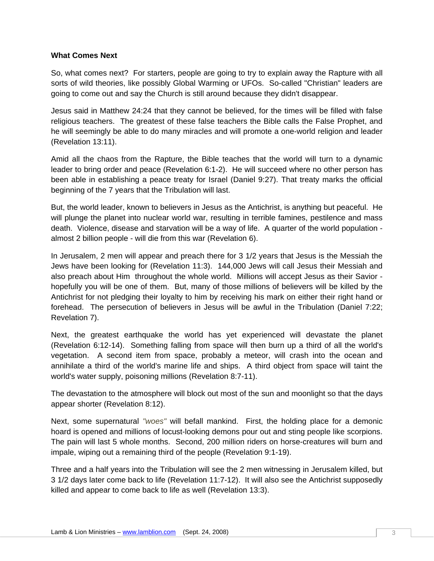#### **What Comes Next**

So, what comes next? For starters, people are going to try to explain away the Rapture with all sorts of wild theories, like possibly Global Warming or UFOs. So-called "Christian" leaders are going to come out and say the Church is still around because they didn't disappear.

Jesus said in Matthew 24:24 that they cannot be believed, for the times will be filled with false religious teachers. The greatest of these false teachers the Bible calls the False Prophet, and he will seemingly be able to do many miracles and will promote a one-world religion and leader (Revelation 13:11).

Amid all the chaos from the Rapture, the Bible teaches that the world will turn to a dynamic leader to bring order and peace (Revelation 6:1-2). He will succeed where no other person has been able in establishing a peace treaty for Israel (Daniel 9:27). That treaty marks the official beginning of the 7 years that the Tribulation will last.

But, the world leader, known to believers in Jesus as the Antichrist, is anything but peaceful. He will plunge the planet into nuclear world war, resulting in terrible famines, pestilence and mass death. Violence, disease and starvation will be a way of life. A quarter of the world population almost 2 billion people - will die from this war (Revelation 6).

In Jerusalem, 2 men will appear and preach there for 3 1/2 years that Jesus is the Messiah the Jews have been looking for (Revelation 11:3). 144,000 Jews will call Jesus their Messiah and also preach about Him throughout the whole world. Millions will accept Jesus as their Savior hopefully you will be one of them. But, many of those millions of believers will be killed by the Antichrist for not pledging their loyalty to him by receiving his mark on either their right hand or forehead. The persecution of believers in Jesus will be awful in the Tribulation (Daniel 7:22; Revelation 7).

Next, the greatest earthquake the world has yet experienced will devastate the planet (Revelation 6:12-14). Something falling from space will then burn up a third of all the world's vegetation. A second item from space, probably a meteor, will crash into the ocean and annihilate a third of the world's marine life and ships. A third object from space will taint the world's water supply, poisoning millions (Revelation 8:7-11).

The devastation to the atmosphere will block out most of the sun and moonlight so that the days appear shorter (Revelation 8:12).

Next, some supernatural *"woes"* will befall mankind. First, the holding place for a demonic hoard is opened and millions of locust-looking demons pour out and sting people like scorpions. The pain will last 5 whole months. Second, 200 million riders on horse-creatures will burn and impale, wiping out a remaining third of the people (Revelation 9:1-19).

Three and a half years into the Tribulation will see the 2 men witnessing in Jerusalem killed, but 3 1/2 days later come back to life (Revelation 11:7-12). It will also see the Antichrist supposedly killed and appear to come back to life as well (Revelation 13:3).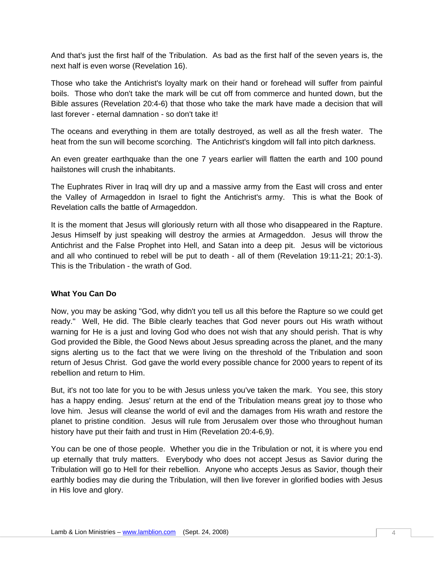And that's just the first half of the Tribulation. As bad as the first half of the seven years is, the next half is even worse (Revelation 16).

Those who take the Antichrist's loyalty mark on their hand or forehead will suffer from painful boils. Those who don't take the mark will be cut off from commerce and hunted down, but the Bible assures (Revelation 20:4-6) that those who take the mark have made a decision that will last forever - eternal damnation - so don't take it!

The oceans and everything in them are totally destroyed, as well as all the fresh water. The heat from the sun will become scorching. The Antichrist's kingdom will fall into pitch darkness.

An even greater earthquake than the one 7 years earlier will flatten the earth and 100 pound hailstones will crush the inhabitants.

The Euphrates River in Iraq will dry up and a massive army from the East will cross and enter the Valley of Armageddon in Israel to fight the Antichrist's army. This is what the Book of Revelation calls the battle of Armageddon.

It is the moment that Jesus will gloriously return with all those who disappeared in the Rapture. Jesus Himself by just speaking will destroy the armies at Armageddon. Jesus will throw the Antichrist and the False Prophet into Hell, and Satan into a deep pit. Jesus will be victorious and all who continued to rebel will be put to death - all of them (Revelation 19:11-21; 20:1-3). This is the Tribulation - the wrath of God.

### **What You Can Do**

Now, you may be asking "God, why didn't you tell us all this before the Rapture so we could get ready." Well, He did. The Bible clearly teaches that God never pours out His wrath without warning for He is a just and loving God who does not wish that any should perish. That is why God provided the Bible, the Good News about Jesus spreading across the planet, and the many signs alerting us to the fact that we were living on the threshold of the Tribulation and soon return of Jesus Christ. God gave the world every possible chance for 2000 years to repent of its rebellion and return to Him.

But, it's not too late for you to be with Jesus unless you've taken the mark. You see, this story has a happy ending. Jesus' return at the end of the Tribulation means great joy to those who love him. Jesus will cleanse the world of evil and the damages from His wrath and restore the planet to pristine condition. Jesus will rule from Jerusalem over those who throughout human history have put their faith and trust in Him (Revelation 20:4-6,9).

You can be one of those people. Whether you die in the Tribulation or not, it is where you end up eternally that truly matters. Everybody who does not accept Jesus as Savior during the Tribulation will go to Hell for their rebellion. Anyone who accepts Jesus as Savior, though their earthly bodies may die during the Tribulation, will then live forever in glorified bodies with Jesus in His love and glory.